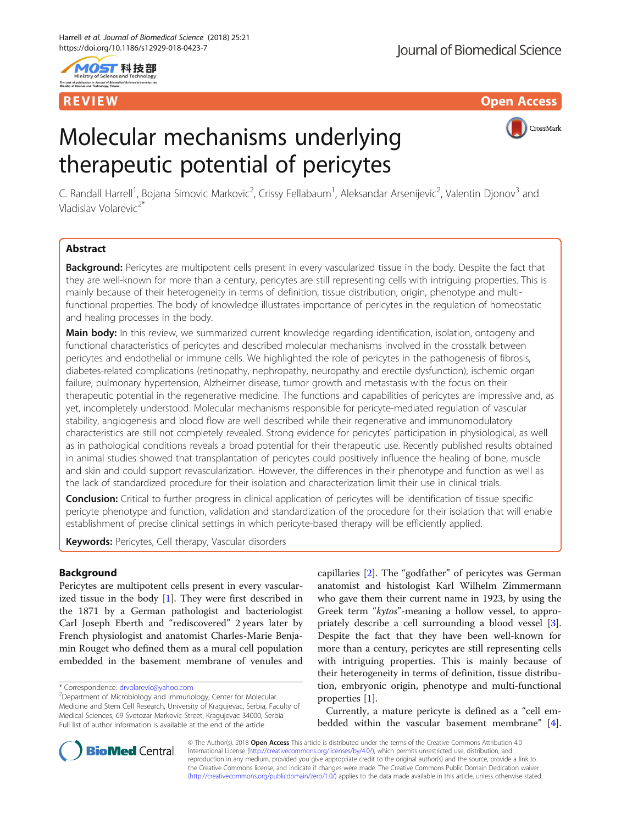

R EVIEW And the state of the state of the state of the state of the state of the state of the state of the state of the state of the state of the state of the state of the state of the state of the state of the state of th

# Molecular mechanisms underlying therapeutic potential of pericytes



C. Randall Harrell<sup>1</sup>, Bojana Simovic Markovic<sup>2</sup>, Crissy Fellabaum<sup>1</sup>, Aleksandar Arsenijevic<sup>2</sup>, Valentin Djonov<sup>3</sup> and Vladislav Volarevic<sup>2\*</sup>

# Abstract

Background: Pericytes are multipotent cells present in every vascularized tissue in the body. Despite the fact that they are well-known for more than a century, pericytes are still representing cells with intriguing properties. This is mainly because of their heterogeneity in terms of definition, tissue distribution, origin, phenotype and multifunctional properties. The body of knowledge illustrates importance of pericytes in the regulation of homeostatic and healing processes in the body.

Main body: In this review, we summarized current knowledge regarding identification, isolation, ontogeny and functional characteristics of pericytes and described molecular mechanisms involved in the crosstalk between pericytes and endothelial or immune cells. We highlighted the role of pericytes in the pathogenesis of fibrosis, diabetes-related complications (retinopathy, nephropathy, neuropathy and erectile dysfunction), ischemic organ failure, pulmonary hypertension, Alzheimer disease, tumor growth and metastasis with the focus on their therapeutic potential in the regenerative medicine. The functions and capabilities of pericytes are impressive and, as yet, incompletely understood. Molecular mechanisms responsible for pericyte-mediated regulation of vascular stability, angiogenesis and blood flow are well described while their regenerative and immunomodulatory characteristics are still not completely revealed. Strong evidence for pericytes' participation in physiological, as well as in pathological conditions reveals a broad potential for their therapeutic use. Recently published results obtained in animal studies showed that transplantation of pericytes could positively influence the healing of bone, muscle and skin and could support revascularization. However, the differences in their phenotype and function as well as the lack of standardized procedure for their isolation and characterization limit their use in clinical trials.

**Conclusion:** Critical to further progress in clinical application of pericytes will be identification of tissue specific pericyte phenotype and function, validation and standardization of the procedure for their isolation that will enable establishment of precise clinical settings in which pericyte-based therapy will be efficiently applied.

Keywords: Pericytes, Cell therapy, Vascular disorders

# Background

Pericytes are multipotent cells present in every vascularized tissue in the body [[1\]](#page-8-0). They were first described in the 1871 by a German pathologist and bacteriologist Carl Joseph Eberth and "rediscovered" 2 years later by French physiologist and anatomist Charles-Marie Benjamin Rouget who defined them as a mural cell population embedded in the basement membrane of venules and

\* Correspondence: [drvolarevic@yahoo.com](mailto:drvolarevic@yahoo.com) <sup>2</sup>

capillaries [[2\]](#page-8-0). The "godfather" of pericytes was German anatomist and histologist Karl Wilhelm Zimmermann who gave them their current name in 1923, by using the Greek term "kytos"-meaning a hollow vessel, to appropriately describe a cell surrounding a blood vessel [\[3](#page-8-0)]. Despite the fact that they have been well-known for more than a century, pericytes are still representing cells with intriguing properties. This is mainly because of their heterogeneity in terms of definition, tissue distribution, embryonic origin, phenotype and multi-functional properties [\[1\]](#page-8-0).

Currently, a mature pericyte is defined as a "cell embedded within the vascular basement membrane" [\[4](#page-8-0)].



© The Author(s). 2018 Open Access This article is distributed under the terms of the Creative Commons Attribution 4.0 International License [\(http://creativecommons.org/licenses/by/4.0/](http://creativecommons.org/licenses/by/4.0/)), which permits unrestricted use, distribution, and reproduction in any medium, provided you give appropriate credit to the original author(s) and the source, provide a link to the Creative Commons license, and indicate if changes were made. The Creative Commons Public Domain Dedication waiver [\(http://creativecommons.org/publicdomain/zero/1.0/](http://creativecommons.org/publicdomain/zero/1.0/)) applies to the data made available in this article, unless otherwise stated.

<sup>&</sup>lt;sup>2</sup>Department of Microbiology and immunology, Center for Molecular Medicine and Stem Cell Research, University of Kragujevac, Serbia, Faculty of Medical Sciences, 69 Svetozar Markovic Street, Kragujevac 34000, Serbia Full list of author information is available at the end of the article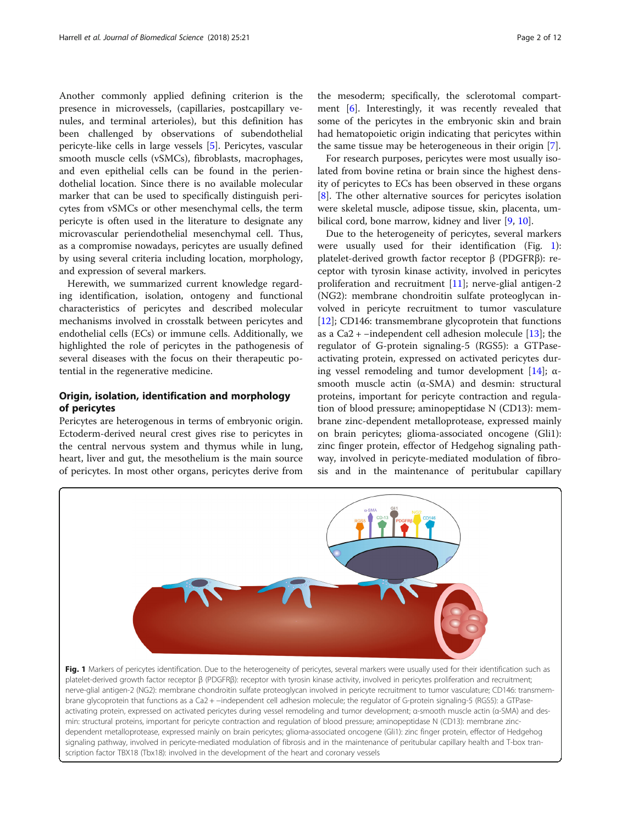Another commonly applied defining criterion is the presence in microvessels, (capillaries, postcapillary venules, and terminal arterioles), but this definition has been challenged by observations of subendothelial pericyte-like cells in large vessels [\[5](#page-8-0)]. Pericytes, vascular smooth muscle cells (vSMCs), fibroblasts, macrophages, and even epithelial cells can be found in the periendothelial location. Since there is no available molecular marker that can be used to specifically distinguish pericytes from vSMCs or other mesenchymal cells, the term pericyte is often used in the literature to designate any microvascular periendothelial mesenchymal cell. Thus, as a compromise nowadays, pericytes are usually defined by using several criteria including location, morphology, and expression of several markers.

Herewith, we summarized current knowledge regarding identification, isolation, ontogeny and functional characteristics of pericytes and described molecular mechanisms involved in crosstalk between pericytes and endothelial cells (ECs) or immune cells. Additionally, we highlighted the role of pericytes in the pathogenesis of several diseases with the focus on their therapeutic potential in the regenerative medicine.

# Origin, isolation, identification and morphology of pericytes

Pericytes are heterogenous in terms of embryonic origin. Ectoderm-derived neural crest gives rise to pericytes in the central nervous system and thymus while in lung, heart, liver and gut, the mesothelium is the main source of pericytes. In most other organs, pericytes derive from the mesoderm; specifically, the sclerotomal compartment [\[6](#page-8-0)]. Interestingly, it was recently revealed that some of the pericytes in the embryonic skin and brain had hematopoietic origin indicating that pericytes within the same tissue may be heterogeneous in their origin [[7\]](#page-8-0).

For research purposes, pericytes were most usually isolated from bovine retina or brain since the highest density of pericytes to ECs has been observed in these organs [[8\]](#page-8-0). The other alternative sources for pericytes isolation were skeletal muscle, adipose tissue, skin, placenta, umbilical cord, bone marrow, kidney and liver [[9,](#page-8-0) [10\]](#page-8-0).

Due to the heterogeneity of pericytes, several markers were usually used for their identification (Fig. 1): platelet-derived growth factor receptor β (PDGFRβ): receptor with tyrosin kinase activity, involved in pericytes proliferation and recruitment [[11\]](#page-9-0); nerve-glial antigen-2 (NG2): membrane chondroitin sulfate proteoglycan involved in pericyte recruitment to tumor vasculature [[12\]](#page-9-0); CD146: transmembrane glycoprotein that functions as a Ca2 + –independent cell adhesion molecule [[13](#page-9-0)]; the regulator of G-protein signaling-5 (RGS5): a GTPaseactivating protein, expressed on activated pericytes during vessel remodeling and tumor development  $[14]$  $[14]$ ;  $\alpha$ smooth muscle actin (α-SMA) and desmin: structural proteins, important for pericyte contraction and regulation of blood pressure; aminopeptidase N (CD13): membrane zinc-dependent metalloprotease, expressed mainly on brain pericytes; glioma-associated oncogene (Gli1): zinc finger protein, effector of Hedgehog signaling pathway, involved in pericyte-mediated modulation of fibrosis and in the maintenance of peritubular capillary



platelet-derived growth factor receptor β (PDGFRβ): receptor with tyrosin kinase activity, involved in pericytes proliferation and recruitment; nerve-glial antigen-2 (NG2): membrane chondroitin sulfate proteoglycan involved in pericyte recruitment to tumor vasculature; CD146: transmembrane glycoprotein that functions as a Ca2 + −independent cell adhesion molecule; the regulator of G-protein signaling-5 (RGS5): a GTPaseactivating protein, expressed on activated pericytes during vessel remodeling and tumor development; α-smooth muscle actin (α-SMA) and desmin: structural proteins, important for pericyte contraction and regulation of blood pressure; aminopeptidase N (CD13): membrane zincdependent metalloprotease, expressed mainly on brain pericytes; glioma-associated oncogene (Gli1): zinc finger protein, effector of Hedgehog signaling pathway, involved in pericyte-mediated modulation of fibrosis and in the maintenance of peritubular capillary health and T-box transcription factor TBX18 (Tbx18): involved in the development of the heart and coronary vessels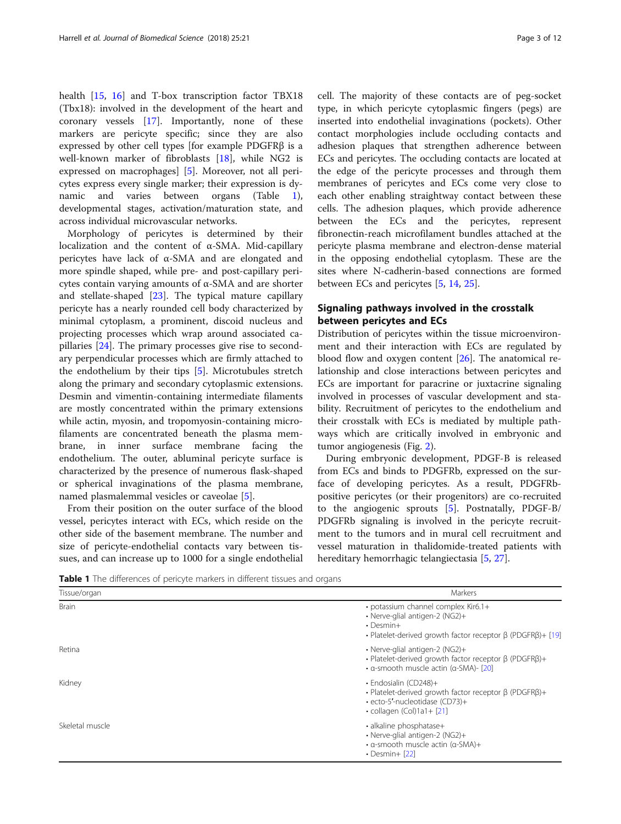health [\[15,](#page-9-0) [16](#page-9-0)] and T-box transcription factor TBX18 (Tbx18): involved in the development of the heart and coronary vessels [[17](#page-9-0)]. Importantly, none of these markers are pericyte specific; since they are also expressed by other cell types [for example PDGFRβ is a well-known marker of fibroblasts [\[18](#page-9-0)], while NG2 is expressed on macrophages] [\[5](#page-8-0)]. Moreover, not all pericytes express every single marker; their expression is dynamic and varies between organs (Table 1), developmental stages, activation/maturation state, and across individual microvascular networks.

Morphology of pericytes is determined by their localization and the content of α-SMA. Mid-capillary pericytes have lack of α-SMA and are elongated and more spindle shaped, while pre- and post-capillary pericytes contain varying amounts of α-SMA and are shorter and stellate-shaped [[23](#page-9-0)]. The typical mature capillary pericyte has a nearly rounded cell body characterized by minimal cytoplasm, a prominent, discoid nucleus and projecting processes which wrap around associated capillaries [[24\]](#page-9-0). The primary processes give rise to secondary perpendicular processes which are firmly attached to the endothelium by their tips [\[5](#page-8-0)]. Microtubules stretch along the primary and secondary cytoplasmic extensions. Desmin and vimentin-containing intermediate filaments are mostly concentrated within the primary extensions while actin, myosin, and tropomyosin-containing microfilaments are concentrated beneath the plasma membrane, in inner surface membrane facing the endothelium. The outer, abluminal pericyte surface is characterized by the presence of numerous flask-shaped or spherical invaginations of the plasma membrane, named plasmalemmal vesicles or caveolae [\[5](#page-8-0)].

From their position on the outer surface of the blood vessel, pericytes interact with ECs, which reside on the other side of the basement membrane. The number and size of pericyte-endothelial contacts vary between tissues, and can increase up to 1000 for a single endothelial cell. The majority of these contacts are of peg-socket type, in which pericyte cytoplasmic fingers (pegs) are inserted into endothelial invaginations (pockets). Other contact morphologies include occluding contacts and adhesion plaques that strengthen adherence between ECs and pericytes. The occluding contacts are located at the edge of the pericyte processes and through them membranes of pericytes and ECs come very close to each other enabling straightway contact between these cells. The adhesion plaques, which provide adherence between the ECs and the pericytes, represent fibronectin-reach microfilament bundles attached at the pericyte plasma membrane and electron-dense material in the opposing endothelial cytoplasm. These are the sites where N-cadherin-based connections are formed between ECs and pericytes [\[5](#page-8-0), [14](#page-9-0), [25](#page-9-0)].

# Signaling pathways involved in the crosstalk between pericytes and ECs

Distribution of pericytes within the tissue microenvironment and their interaction with ECs are regulated by blood flow and oxygen content [[26](#page-9-0)]. The anatomical relationship and close interactions between pericytes and ECs are important for paracrine or juxtacrine signaling involved in processes of vascular development and stability. Recruitment of pericytes to the endothelium and their crosstalk with ECs is mediated by multiple pathways which are critically involved in embryonic and tumor angiogenesis (Fig. [2\)](#page-3-0).

During embryonic development, PDGF-B is released from ECs and binds to PDGFRb, expressed on the surface of developing pericytes. As a result, PDGFRbpositive pericytes (or their progenitors) are co-recruited to the angiogenic sprouts [\[5](#page-8-0)]. Postnatally, PDGF-B/ PDGFRb signaling is involved in the pericyte recruitment to the tumors and in mural cell recruitment and vessel maturation in thalidomide-treated patients with hereditary hemorrhagic telangiectasia [\[5](#page-8-0), [27\]](#page-9-0).

**Table 1** The differences of pericyte markers in different tissues and organs

| Tissue/organ    | Markers                                                                                                                                                              |
|-----------------|----------------------------------------------------------------------------------------------------------------------------------------------------------------------|
| <b>Brain</b>    | · potassium channel complex Kir6.1+<br>• Nerve-glial antigen-2 (NG2)+<br>$\cdot$ Desmin+<br>• Platelet-derived growth factor receptor $\beta$ (PDGFR $\beta$ )+ [19] |
| Retina          | • Nerve-glial antigen-2 (NG2)+<br>• Platelet-derived growth factor receptor $\beta$ (PDGFR $\beta$ )+<br>• a-smooth muscle actin (a-SMA)- [20]                       |
| Kidney          | • Endosialin (CD248)+<br>• Platelet-derived growth factor receptor $\beta$ (PDGFR $\beta$ )+<br>· ecto-5'-nucleotidase (CD73)+<br>· collagen (Col)1a1+ [21]          |
| Skeletal muscle | • alkaline phosphatase+<br>• Nerve-glial antigen-2 (NG2)+<br>• a-smooth muscle actin (a-SMA)+<br>$\cdot$ Desmin+ [22]                                                |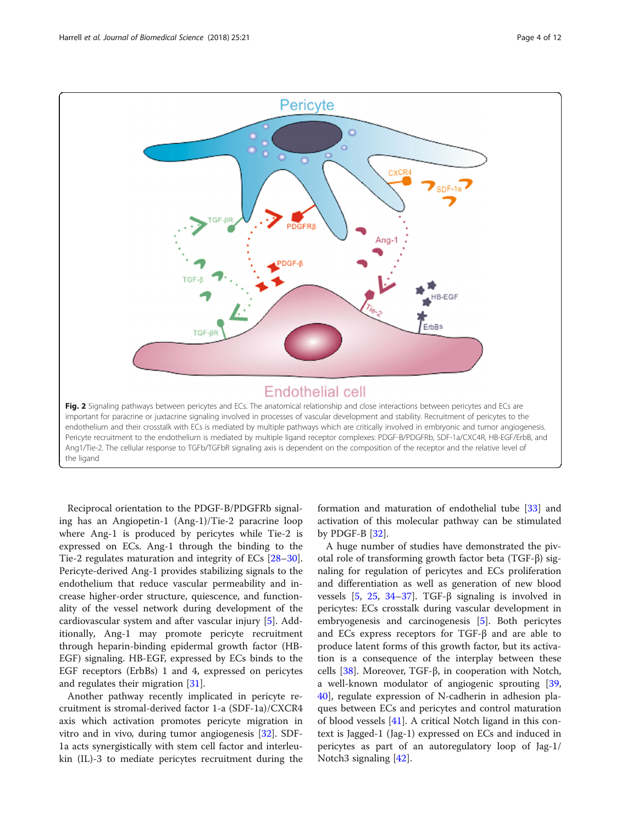<span id="page-3-0"></span>

Reciprocal orientation to the PDGF-B/PDGFRb signaling has an Angiopetin-1 (Ang-1)/Tie-2 paracrine loop where Ang-1 is produced by pericytes while Tie-2 is expressed on ECs. Ang-1 through the binding to the Tie-2 regulates maturation and integrity of ECs [[28](#page-9-0)–[30](#page-9-0)]. Pericyte-derived Ang-1 provides stabilizing signals to the endothelium that reduce vascular permeability and increase higher-order structure, quiescence, and functionality of the vessel network during development of the cardiovascular system and after vascular injury [\[5](#page-8-0)]. Additionally, Ang-1 may promote pericyte recruitment through heparin-binding epidermal growth factor (HB-EGF) signaling. HB-EGF, expressed by ECs binds to the EGF receptors (ErbBs) 1 and 4, expressed on pericytes and regulates their migration [[31\]](#page-9-0).

Another pathway recently implicated in pericyte recruitment is stromal-derived factor 1-a (SDF-1a)/CXCR4 axis which activation promotes pericyte migration in vitro and in vivo, during tumor angiogenesis [[32\]](#page-9-0). SDF-1a acts synergistically with stem cell factor and interleukin (IL)-3 to mediate pericytes recruitment during the

formation and maturation of endothelial tube [\[33\]](#page-9-0) and activation of this molecular pathway can be stimulated by PDGF-B [[32\]](#page-9-0).

A huge number of studies have demonstrated the pivotal role of transforming growth factor beta (TGF-β) signaling for regulation of pericytes and ECs proliferation and differentiation as well as generation of new blood vessels [\[5](#page-8-0), [25](#page-9-0), [34](#page-9-0)–[37](#page-9-0)]. TGF-β signaling is involved in pericytes: ECs crosstalk during vascular development in embryogenesis and carcinogenesis [[5](#page-8-0)]. Both pericytes and ECs express receptors for  $TGF- $\beta$  and are able to$ produce latent forms of this growth factor, but its activation is a consequence of the interplay between these cells [\[38\]](#page-9-0). Moreover, TGF-β, in cooperation with Notch, a well-known modulator of angiogenic sprouting [[39](#page-9-0), [40\]](#page-9-0), regulate expression of N-cadherin in adhesion plaques between ECs and pericytes and control maturation of blood vessels [[41\]](#page-9-0). A critical Notch ligand in this context is Jagged-1 (Jag-1) expressed on ECs and induced in pericytes as part of an autoregulatory loop of Jag-1/ Notch3 signaling [\[42](#page-9-0)].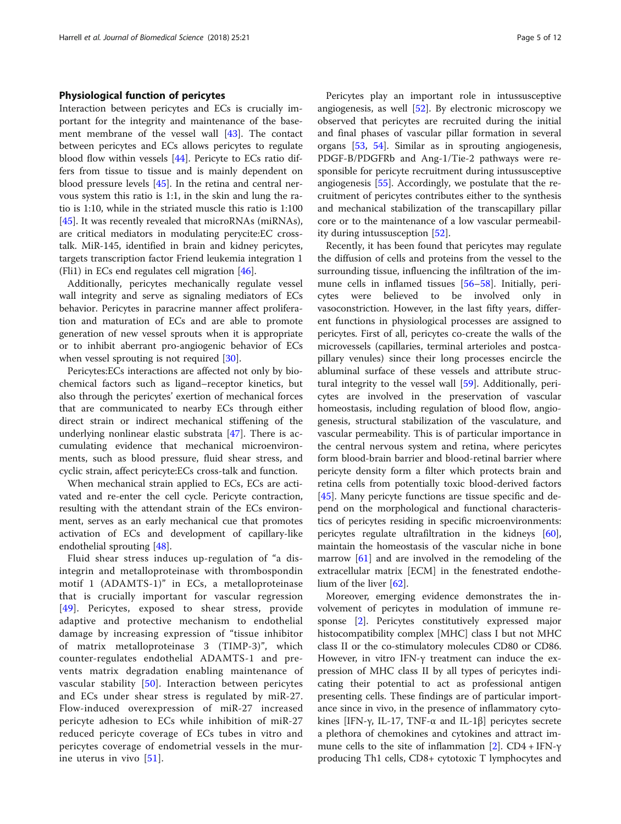# Physiological function of pericytes

Interaction between pericytes and ECs is crucially important for the integrity and maintenance of the basement membrane of the vessel wall [\[43](#page-9-0)]. The contact between pericytes and ECs allows pericytes to regulate blood flow within vessels [[44\]](#page-9-0). Pericyte to ECs ratio differs from tissue to tissue and is mainly dependent on blood pressure levels [[45\]](#page-9-0). In the retina and central nervous system this ratio is 1:1, in the skin and lung the ratio is 1:10, while in the striated muscle this ratio is 1:100 [[45\]](#page-9-0). It was recently revealed that microRNAs (miRNAs), are critical mediators in modulating perycite:EC crosstalk. MiR-145, identified in brain and kidney pericytes, targets transcription factor Friend leukemia integration 1 (Fli1) in ECs end regulates cell migration [[46\]](#page-9-0).

Additionally, pericytes mechanically regulate vessel wall integrity and serve as signaling mediators of ECs behavior. Pericytes in paracrine manner affect proliferation and maturation of ECs and are able to promote generation of new vessel sprouts when it is appropriate or to inhibit aberrant pro-angiogenic behavior of ECs when vessel sprouting is not required [\[30](#page-9-0)].

Pericytes:ECs interactions are affected not only by biochemical factors such as ligand–receptor kinetics, but also through the pericytes' exertion of mechanical forces that are communicated to nearby ECs through either direct strain or indirect mechanical stiffening of the underlying nonlinear elastic substrata [[47](#page-9-0)]. There is accumulating evidence that mechanical microenvironments, such as blood pressure, fluid shear stress, and cyclic strain, affect pericyte:ECs cross-talk and function.

When mechanical strain applied to ECs, ECs are activated and re-enter the cell cycle. Pericyte contraction, resulting with the attendant strain of the ECs environment, serves as an early mechanical cue that promotes activation of ECs and development of capillary-like endothelial sprouting [[48\]](#page-9-0).

Fluid shear stress induces up-regulation of "a disintegrin and metalloproteinase with thrombospondin motif 1 (ADAMTS-1)" in ECs, a metalloproteinase that is crucially important for vascular regression [[49](#page-9-0)]. Pericytes, exposed to shear stress, provide adaptive and protective mechanism to endothelial damage by increasing expression of "tissue inhibitor of matrix metalloproteinase 3 (TIMP-3)", which counter-regulates endothelial ADAMTS-1 and prevents matrix degradation enabling maintenance of vascular stability [[50](#page-9-0)]. Interaction between pericytes and ECs under shear stress is regulated by miR-27. Flow-induced overexpression of miR-27 increased pericyte adhesion to ECs while inhibition of miR-27 reduced pericyte coverage of ECs tubes in vitro and pericytes coverage of endometrial vessels in the murine uterus in vivo [\[51](#page-9-0)].

Pericytes play an important role in intussusceptive angiogenesis, as well  $[52]$  $[52]$ . By electronic microscopy we observed that pericytes are recruited during the initial and final phases of vascular pillar formation in several organs [[53](#page-9-0), [54\]](#page-9-0). Similar as in sprouting angiogenesis, PDGF-B/PDGFRb and Ang-1/Tie-2 pathways were responsible for pericyte recruitment during intussusceptive angiogenesis [[55](#page-10-0)]. Accordingly, we postulate that the recruitment of pericytes contributes either to the synthesis and mechanical stabilization of the transcapillary pillar core or to the maintenance of a low vascular permeability during intussusception [\[52\]](#page-9-0).

Recently, it has been found that pericytes may regulate the diffusion of cells and proteins from the vessel to the surrounding tissue, influencing the infiltration of the immune cells in inflamed tissues [[56](#page-10-0)–[58\]](#page-10-0). Initially, pericytes were believed to be involved only in vasoconstriction. However, in the last fifty years, different functions in physiological processes are assigned to pericytes. First of all, pericytes co-create the walls of the microvessels (capillaries, terminal arterioles and postcapillary venules) since their long processes encircle the abluminal surface of these vessels and attribute structural integrity to the vessel wall [\[59](#page-10-0)]. Additionally, pericytes are involved in the preservation of vascular homeostasis, including regulation of blood flow, angiogenesis, structural stabilization of the vasculature, and vascular permeability. This is of particular importance in the central nervous system and retina, where pericytes form blood-brain barrier and blood-retinal barrier where pericyte density form a filter which protects brain and retina cells from potentially toxic blood-derived factors [[45\]](#page-9-0). Many pericyte functions are tissue specific and depend on the morphological and functional characteristics of pericytes residing in specific microenvironments: pericytes regulate ultrafiltration in the kidneys [\[60](#page-10-0)], maintain the homeostasis of the vascular niche in bone marrow [[61\]](#page-10-0) and are involved in the remodeling of the extracellular matrix [ECM] in the fenestrated endothelium of the liver [[62\]](#page-10-0).

Moreover, emerging evidence demonstrates the involvement of pericytes in modulation of immune response [\[2](#page-8-0)]. Pericytes constitutively expressed major histocompatibility complex [MHC] class I but not MHC class II or the co-stimulatory molecules CD80 or CD86. However, in vitro IFN-γ treatment can induce the expression of MHC class II by all types of pericytes indicating their potential to act as professional antigen presenting cells. These findings are of particular importance since in vivo, in the presence of inflammatory cytokines [IFN-γ, IL-17, TNF-α and IL-1β] pericytes secrete a plethora of chemokines and cytokines and attract im-mune cells to the site of inflammation [\[2](#page-8-0)]. CD4 + IFN- $\gamma$ producing Th1 cells, CD8+ cytotoxic T lymphocytes and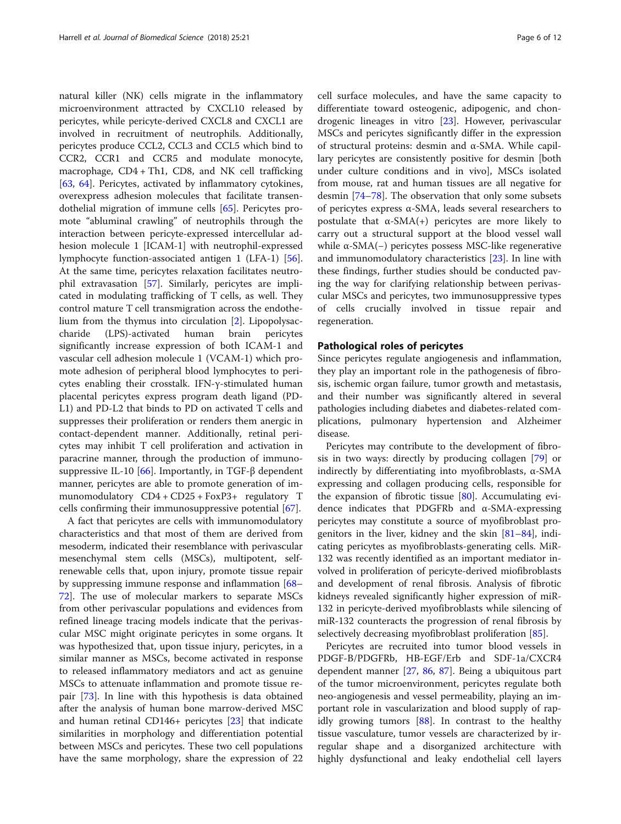natural killer (NK) cells migrate in the inflammatory microenvironment attracted by CXCL10 released by pericytes, while pericyte-derived CXCL8 and CXCL1 are involved in recruitment of neutrophils. Additionally, pericytes produce CCL2, CCL3 and CCL5 which bind to CCR2, CCR1 and CCR5 and modulate monocyte, macrophage, CD4 + Th1, CD8, and NK cell trafficking [[63,](#page-10-0) [64\]](#page-10-0). Pericytes, activated by inflammatory cytokines, overexpress adhesion molecules that facilitate transendothelial migration of immune cells [[65\]](#page-10-0). Pericytes promote "abluminal crawling" of neutrophils through the interaction between pericyte-expressed intercellular adhesion molecule 1 [ICAM-1] with neutrophil-expressed lymphocyte function-associated antigen 1 (LFA-1) [\[56](#page-10-0)]. At the same time, pericytes relaxation facilitates neutrophil extravasation [[57\]](#page-10-0). Similarly, pericytes are implicated in modulating trafficking of T cells, as well. They control mature T cell transmigration across the endothelium from the thymus into circulation [[2\]](#page-8-0). Lipopolysaccharide (LPS)-activated human brain pericytes significantly increase expression of both ICAM-1 and vascular cell adhesion molecule 1 (VCAM-1) which promote adhesion of peripheral blood lymphocytes to pericytes enabling their crosstalk. IFN-γ-stimulated human placental pericytes express program death ligand (PD-L1) and PD-L2 that binds to PD on activated T cells and suppresses their proliferation or renders them anergic in contact-dependent manner. Additionally, retinal pericytes may inhibit T cell proliferation and activation in paracrine manner, through the production of immuno-suppressive IL-10 [[66](#page-10-0)]. Importantly, in TGF-β dependent manner, pericytes are able to promote generation of immunomodulatory CD4 + CD25 + FoxP3+ regulatory T cells confirming their immunosuppressive potential [[67](#page-10-0)].

A fact that pericytes are cells with immunomodulatory characteristics and that most of them are derived from mesoderm, indicated their resemblance with perivascular mesenchymal stem cells (MSCs), multipotent, selfrenewable cells that, upon injury, promote tissue repair by suppressing immune response and inflammation [[68](#page-10-0)– [72\]](#page-10-0). The use of molecular markers to separate MSCs from other perivascular populations and evidences from refined lineage tracing models indicate that the perivascular MSC might originate pericytes in some organs. It was hypothesized that, upon tissue injury, pericytes, in a similar manner as MSCs, become activated in response to released inflammatory mediators and act as genuine MSCs to attenuate inflammation and promote tissue repair [\[73](#page-10-0)]. In line with this hypothesis is data obtained after the analysis of human bone marrow-derived MSC and human retinal CD146+ pericytes [[23\]](#page-9-0) that indicate similarities in morphology and differentiation potential between MSCs and pericytes. These two cell populations have the same morphology, share the expression of 22

cell surface molecules, and have the same capacity to differentiate toward osteogenic, adipogenic, and chondrogenic lineages in vitro [\[23\]](#page-9-0). However, perivascular MSCs and pericytes significantly differ in the expression of structural proteins: desmin and α-SMA. While capillary pericytes are consistently positive for desmin [both under culture conditions and in vivo], MSCs isolated from mouse, rat and human tissues are all negative for desmin [[74](#page-10-0)–[78](#page-10-0)]. The observation that only some subsets of pericytes express  $\alpha$ -SMA, leads several researchers to postulate that  $\alpha$ -SMA(+) pericytes are more likely to carry out a structural support at the blood vessel wall while  $α-SMA(-)$  pericytes possess MSC-like regenerative and immunomodulatory characteristics [\[23](#page-9-0)]. In line with these findings, further studies should be conducted paving the way for clarifying relationship between perivascular MSCs and pericytes, two immunosuppressive types of cells crucially involved in tissue repair and regeneration.

# Pathological roles of pericytes

Since pericytes regulate angiogenesis and inflammation, they play an important role in the pathogenesis of fibrosis, ischemic organ failure, tumor growth and metastasis, and their number was significantly altered in several pathologies including diabetes and diabetes-related complications, pulmonary hypertension and Alzheimer disease.

Pericytes may contribute to the development of fibrosis in two ways: directly by producing collagen [[79](#page-10-0)] or indirectly by differentiating into myofibroblasts, α-SMA expressing and collagen producing cells, responsible for the expansion of fibrotic tissue [[80\]](#page-10-0). Accumulating evidence indicates that PDGFRb and α-SMA-expressing pericytes may constitute a source of myofibroblast progenitors in the liver, kidney and the skin [\[81](#page-10-0)–[84\]](#page-10-0), indicating pericytes as myofibroblasts-generating cells. MiR-132 was recently identified as an important mediator involved in proliferation of pericyte-derived miofibroblasts and development of renal fibrosis. Analysis of fibrotic kidneys revealed significantly higher expression of miR-132 in pericyte-derived myofibroblasts while silencing of miR-132 counteracts the progression of renal fibrosis by selectively decreasing myofibroblast proliferation [[85\]](#page-10-0).

Pericytes are recruited into tumor blood vessels in PDGF-B/PDGFRb, HB-EGF/Erb and SDF-1a/CXCR4 dependent manner [[27,](#page-9-0) [86](#page-10-0), [87](#page-10-0)]. Being a ubiquitous part of the tumor microenvironment, pericytes regulate both neo-angiogenesis and vessel permeability, playing an important role in vascularization and blood supply of rapidly growing tumors [\[88\]](#page-10-0). In contrast to the healthy tissue vasculature, tumor vessels are characterized by irregular shape and a disorganized architecture with highly dysfunctional and leaky endothelial cell layers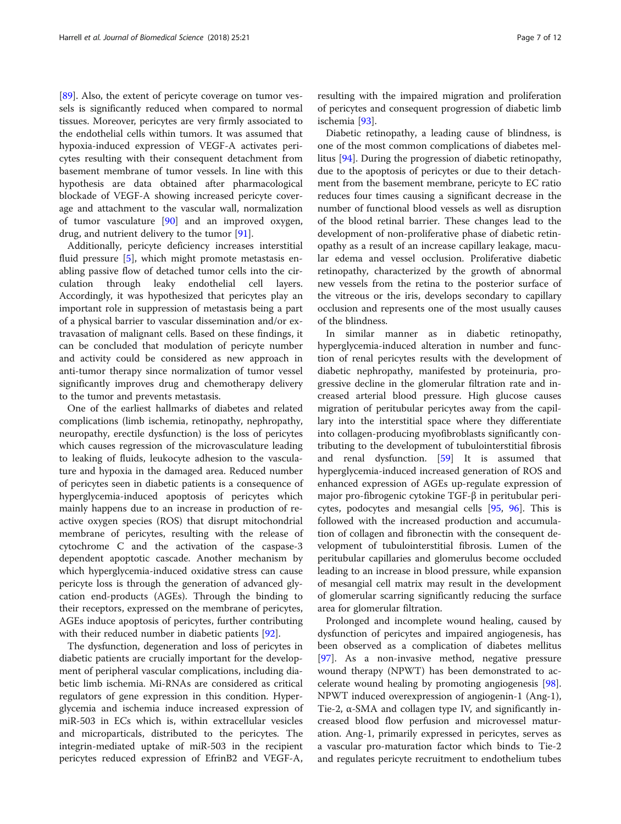[[89\]](#page-10-0). Also, the extent of pericyte coverage on tumor vessels is significantly reduced when compared to normal tissues. Moreover, pericytes are very firmly associated to the endothelial cells within tumors. It was assumed that hypoxia-induced expression of VEGF-A activates pericytes resulting with their consequent detachment from basement membrane of tumor vessels. In line with this hypothesis are data obtained after pharmacological blockade of VEGF-A showing increased pericyte coverage and attachment to the vascular wall, normalization of tumor vasculature [\[90\]](#page-10-0) and an improved oxygen, drug, and nutrient delivery to the tumor [\[91](#page-10-0)].

Additionally, pericyte deficiency increases interstitial fluid pressure [[5\]](#page-8-0), which might promote metastasis enabling passive flow of detached tumor cells into the circulation through leaky endothelial cell layers. Accordingly, it was hypothesized that pericytes play an important role in suppression of metastasis being a part of a physical barrier to vascular dissemination and/or extravasation of malignant cells. Based on these findings, it can be concluded that modulation of pericyte number and activity could be considered as new approach in anti-tumor therapy since normalization of tumor vessel significantly improves drug and chemotherapy delivery to the tumor and prevents metastasis.

One of the earliest hallmarks of diabetes and related complications (limb ischemia, retinopathy, nephropathy, neuropathy, erectile dysfunction) is the loss of pericytes which causes regression of the microvasculature leading to leaking of fluids, leukocyte adhesion to the vasculature and hypoxia in the damaged area. Reduced number of pericytes seen in diabetic patients is a consequence of hyperglycemia-induced apoptosis of pericytes which mainly happens due to an increase in production of reactive oxygen species (ROS) that disrupt mitochondrial membrane of pericytes, resulting with the release of cytochrome C and the activation of the caspase-3 dependent apoptotic cascade. Another mechanism by which hyperglycemia-induced oxidative stress can cause pericyte loss is through the generation of advanced glycation end-products (AGEs). Through the binding to their receptors, expressed on the membrane of pericytes, AGEs induce apoptosis of pericytes, further contributing with their reduced number in diabetic patients [\[92](#page-10-0)].

The dysfunction, degeneration and loss of pericytes in diabetic patients are crucially important for the development of peripheral vascular complications, including diabetic limb ischemia. Mi-RNAs are considered as critical regulators of gene expression in this condition. Hyperglycemia and ischemia induce increased expression of miR-503 in ECs which is, within extracellular vesicles and microparticals, distributed to the pericytes. The integrin-mediated uptake of miR-503 in the recipient pericytes reduced expression of EfrinB2 and VEGF-A,

resulting with the impaired migration and proliferation of pericytes and consequent progression of diabetic limb ischemia [\[93](#page-10-0)].

Diabetic retinopathy, a leading cause of blindness, is one of the most common complications of diabetes mellitus [\[94\]](#page-10-0). During the progression of diabetic retinopathy, due to the apoptosis of pericytes or due to their detachment from the basement membrane, pericyte to EC ratio reduces four times causing a significant decrease in the number of functional blood vessels as well as disruption of the blood retinal barrier. These changes lead to the development of non-proliferative phase of diabetic retinopathy as a result of an increase capillary leakage, macular edema and vessel occlusion. Proliferative diabetic retinopathy, characterized by the growth of abnormal new vessels from the retina to the posterior surface of the vitreous or the iris, develops secondary to capillary occlusion and represents one of the most usually causes of the blindness.

In similar manner as in diabetic retinopathy, hyperglycemia-induced alteration in number and function of renal pericytes results with the development of diabetic nephropathy, manifested by proteinuria, progressive decline in the glomerular filtration rate and increased arterial blood pressure. High glucose causes migration of peritubular pericytes away from the capillary into the interstitial space where they differentiate into collagen-producing myofibroblasts significantly contributing to the development of tubulointerstitial fibrosis and renal dysfunction. [\[59](#page-10-0)] It is assumed that hyperglycemia-induced increased generation of ROS and enhanced expression of AGEs up-regulate expression of major pro-fibrogenic cytokine TGF-β in peritubular pericytes, podocytes and mesangial cells [[95,](#page-10-0) [96](#page-10-0)]. This is followed with the increased production and accumulation of collagen and fibronectin with the consequent development of tubulointerstitial fibrosis. Lumen of the peritubular capillaries and glomerulus become occluded leading to an increase in blood pressure, while expansion of mesangial cell matrix may result in the development of glomerular scarring significantly reducing the surface area for glomerular filtration.

Prolonged and incomplete wound healing, caused by dysfunction of pericytes and impaired angiogenesis, has been observed as a complication of diabetes mellitus [[97\]](#page-10-0). As a non-invasive method, negative pressure wound therapy (NPWT) has been demonstrated to accelerate wound healing by promoting angiogenesis [\[98](#page-10-0)]. NPWT induced overexpression of angiogenin-1 (Ang-1), Tie-2, α-SMA and collagen type IV, and significantly increased blood flow perfusion and microvessel maturation. Ang-1, primarily expressed in pericytes, serves as a vascular pro-maturation factor which binds to Tie-2 and regulates pericyte recruitment to endothelium tubes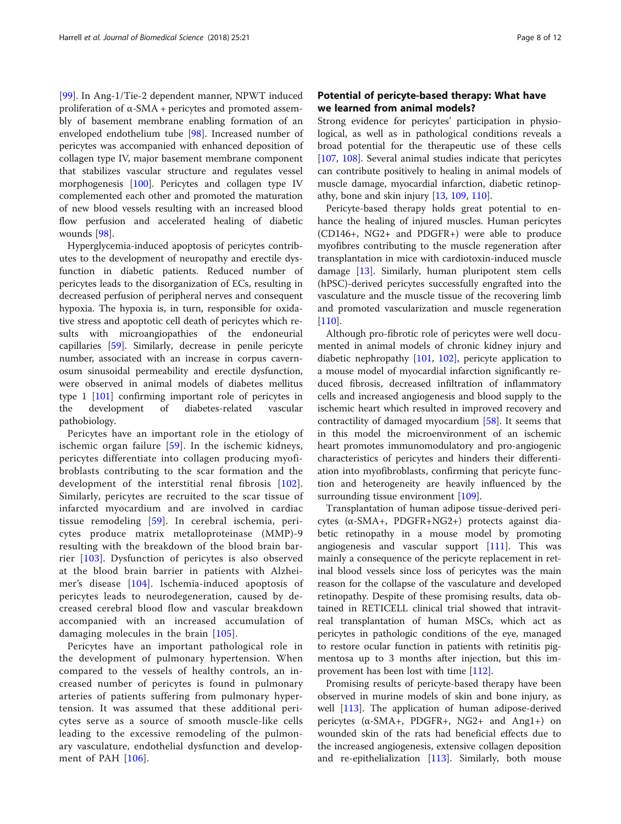[[99\]](#page-10-0). In Ang-1/Tie-2 dependent manner, NPWT induced proliferation of α-SMA + pericytes and promoted assembly of basement membrane enabling formation of an enveloped endothelium tube [\[98](#page-10-0)]. Increased number of pericytes was accompanied with enhanced deposition of collagen type IV, major basement membrane component that stabilizes vascular structure and regulates vessel morphogenesis [[100](#page-10-0)]. Pericytes and collagen type IV complemented each other and promoted the maturation of new blood vessels resulting with an increased blood flow perfusion and accelerated healing of diabetic wounds [[98](#page-10-0)].

Hyperglycemia-induced apoptosis of pericytes contributes to the development of neuropathy and erectile dysfunction in diabetic patients. Reduced number of pericytes leads to the disorganization of ECs, resulting in decreased perfusion of peripheral nerves and consequent hypoxia. The hypoxia is, in turn, responsible for oxidative stress and apoptotic cell death of pericytes which results with microangiopathies of the endoneurial capillaries [[59](#page-10-0)]. Similarly, decrease in penile pericyte number, associated with an increase in corpus cavernosum sinusoidal permeability and erectile dysfunction, were observed in animal models of diabetes mellitus type 1 [\[101\]](#page-11-0) confirming important role of pericytes in the development of diabetes-related vascular pathobiology.

Pericytes have an important role in the etiology of ischemic organ failure [\[59\]](#page-10-0). In the ischemic kidneys, pericytes differentiate into collagen producing myofibroblasts contributing to the scar formation and the development of the interstitial renal fibrosis [[102](#page-11-0)]. Similarly, pericytes are recruited to the scar tissue of infarcted myocardium and are involved in cardiac tissue remodeling [\[59\]](#page-10-0). In cerebral ischemia, pericytes produce matrix metalloproteinase (MMP)-9 resulting with the breakdown of the blood brain barrier [[103](#page-11-0)]. Dysfunction of pericytes is also observed at the blood brain barrier in patients with Alzheimer's disease [[104](#page-11-0)]. Ischemia-induced apoptosis of pericytes leads to neurodegeneration, caused by decreased cerebral blood flow and vascular breakdown accompanied with an increased accumulation of damaging molecules in the brain [[105](#page-11-0)].

Pericytes have an important pathological role in the development of pulmonary hypertension. When compared to the vessels of healthy controls, an increased number of pericytes is found in pulmonary arteries of patients suffering from pulmonary hypertension. It was assumed that these additional pericytes serve as a source of smooth muscle-like cells leading to the excessive remodeling of the pulmonary vasculature, endothelial dysfunction and development of PAH [[106](#page-11-0)].

# Potential of pericyte-based therapy: What have we learned from animal models?

Strong evidence for pericytes' participation in physiological, as well as in pathological conditions reveals a broad potential for the therapeutic use of these cells [[107,](#page-11-0) [108](#page-11-0)]. Several animal studies indicate that pericytes can contribute positively to healing in animal models of muscle damage, myocardial infarction, diabetic retinopathy, bone and skin injury [[13](#page-9-0), [109](#page-11-0), [110](#page-11-0)].

Pericyte-based therapy holds great potential to enhance the healing of injured muscles. Human pericytes (CD146+, NG2+ and PDGFR+) were able to produce myofibres contributing to the muscle regeneration after transplantation in mice with cardiotoxin-induced muscle damage [[13\]](#page-9-0). Similarly, human pluripotent stem cells (hPSC)-derived pericytes successfully engrafted into the vasculature and the muscle tissue of the recovering limb and promoted vascularization and muscle regeneration [[110\]](#page-11-0).

Although pro-fibrotic role of pericytes were well documented in animal models of chronic kidney injury and diabetic nephropathy [[101](#page-11-0), [102](#page-11-0)], pericyte application to a mouse model of myocardial infarction significantly reduced fibrosis, decreased infiltration of inflammatory cells and increased angiogenesis and blood supply to the ischemic heart which resulted in improved recovery and contractility of damaged myocardium [\[58](#page-10-0)]. It seems that in this model the microenvironment of an ischemic heart promotes immunomodulatory and pro-angiogenic characteristics of pericytes and hinders their differentiation into myofibroblasts, confirming that pericyte function and heterogeneity are heavily influenced by the surrounding tissue environment [\[109\]](#page-11-0).

Transplantation of human adipose tissue-derived pericytes (α-SMA+, PDGFR+NG2+) protects against diabetic retinopathy in a mouse model by promoting angiogenesis and vascular support [[111](#page-11-0)]. This was mainly a consequence of the pericyte replacement in retinal blood vessels since loss of pericytes was the main reason for the collapse of the vasculature and developed retinopathy. Despite of these promising results, data obtained in RETICELL clinical trial showed that intravitreal transplantation of human MSCs, which act as pericytes in pathologic conditions of the eye, managed to restore ocular function in patients with retinitis pigmentosa up to 3 months after injection, but this improvement has been lost with time [\[112](#page-11-0)].

Promising results of pericyte-based therapy have been observed in murine models of skin and bone injury, as well [[113](#page-11-0)]. The application of human adipose-derived pericytes (α-SMA+, PDGFR+, NG2+ and Ang1+) on wounded skin of the rats had beneficial effects due to the increased angiogenesis, extensive collagen deposition and re-epithelialization [[113](#page-11-0)]. Similarly, both mouse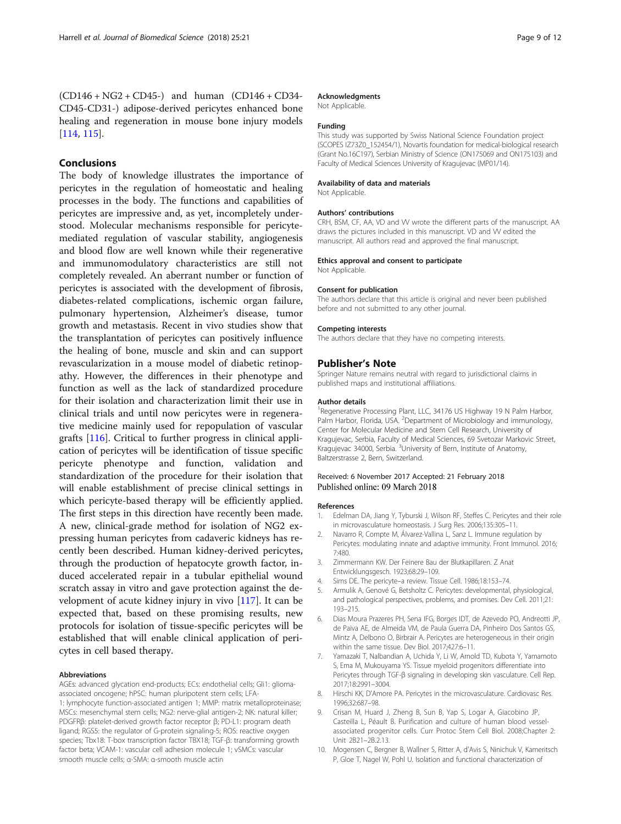<span id="page-8-0"></span>(CD146 + NG2 + CD45-) and human (CD146 + CD34- CD45-CD31-) adipose-derived pericytes enhanced bone healing and regeneration in mouse bone injury models [[114,](#page-11-0) [115](#page-11-0)].

# Conclusions

The body of knowledge illustrates the importance of pericytes in the regulation of homeostatic and healing processes in the body. The functions and capabilities of pericytes are impressive and, as yet, incompletely understood. Molecular mechanisms responsible for pericytemediated regulation of vascular stability, angiogenesis and blood flow are well known while their regenerative and immunomodulatory characteristics are still not completely revealed. An aberrant number or function of pericytes is associated with the development of fibrosis, diabetes-related complications, ischemic organ failure, pulmonary hypertension, Alzheimer's disease, tumor growth and metastasis. Recent in vivo studies show that the transplantation of pericytes can positively influence the healing of bone, muscle and skin and can support revascularization in a mouse model of diabetic retinopathy. However, the differences in their phenotype and function as well as the lack of standardized procedure for their isolation and characterization limit their use in clinical trials and until now pericytes were in regenerative medicine mainly used for repopulation of vascular grafts [[116\]](#page-11-0). Critical to further progress in clinical application of pericytes will be identification of tissue specific pericyte phenotype and function, validation and standardization of the procedure for their isolation that will enable establishment of precise clinical settings in which pericyte-based therapy will be efficiently applied. The first steps in this direction have recently been made. A new, clinical-grade method for isolation of NG2 expressing human pericytes from cadaveric kidneys has recently been described. Human kidney-derived pericytes, through the production of hepatocyte growth factor, induced accelerated repair in a tubular epithelial wound scratch assay in vitro and gave protection against the development of acute kidney injury in vivo [[117](#page-11-0)]. It can be expected that, based on these promising results, new protocols for isolation of tissue-specific pericytes will be established that will enable clinical application of pericytes in cell based therapy.

#### Abbreviations

AGEs: advanced glycation end-products; ECs: endothelial cells; Gli1: gliomaassociated oncogene; hPSC: human pluripotent stem cells; LFA-1: lymphocyte function-associated antigen 1; MMP: matrix metalloproteinase; MSCs: mesenchymal stem cells; NG2: nerve-glial antigen-2; NK: natural killer; PDGFRβ: platelet-derived growth factor receptor β; PD-L1: program death ligand; RGS5: the regulator of G-protein signaling-5; ROS: reactive oxygen species; Tbx18: T-box transcription factor TBX18; TGF-β: transforming growth factor beta; VCAM-1: vascular cell adhesion molecule 1; vSMCs: vascular smooth muscle cells; α-SMA: α-smooth muscle actin

#### Acknowledgments

Not Applicable.

#### Funding

This study was supported by Swiss National Science Foundation project (SCOPES IZ73Z0\_152454/1), Novartis foundation for medical-biological research (Grant No.16C197), Serbian Ministry of Science (ON175069 and ON175103) and Faculty of Medical Sciences University of Kragujevac (MP01/14).

#### Availability of data and materials

Not Applicable.

#### Authors' contributions

CRH, BSM, CF, AA, VD and VV wrote the different parts of the manuscript. AA draws the pictures included in this manuscript. VD and VV edited the manuscript. All authors read and approved the final manuscript.

#### Ethics approval and consent to participate

Not Applicable.

#### Consent for publication

The authors declare that this article is original and never been published before and not submitted to any other journal.

#### Competing interests

The authors declare that they have no competing interests.

### Publisher's Note

Springer Nature remains neutral with regard to jurisdictional claims in published maps and institutional affiliations.

#### Author details

<sup>1</sup> Regenerative Processing Plant, LLC, 34176 US Highway 19 N Palm Harbor, Palm Harbor, Florida, USA. <sup>2</sup> Department of Microbiology and immunology Center for Molecular Medicine and Stem Cell Research, University of Kragujevac, Serbia, Faculty of Medical Sciences, 69 Svetozar Markovic Street, Kragujevac 34000, Serbia. <sup>3</sup>University of Bern, Institute of Anatomy Baltzerstrasse 2, Bern, Switzerland.

#### Received: 6 November 2017 Accepted: 21 February 2018 Published online: 09 March 2018

#### References

- 1. Edelman DA, Jiang Y, Tyburski J, Wilson RF, Steffes C. Pericytes and their role in microvasculature homeostasis. J Surg Res. 2006;135:305–11.
- 2. Navarro R, Compte M, Álvarez-Vallina L, Sanz L. Immune regulation by Pericytes: modulating innate and adaptive immunity. Front Immunol. 2016; 7:480.
- 3. Zimmermann KW. Der Feinere Bau der Blutkapillaren. Z Anat Entwicklungsgesch. 1923;68:29–109.
- 4. Sims DE. The pericyte–a review. Tissue Cell. 1986;18:153–74.
- 5. Armulik A, Genové G, Betsholtz C. Pericytes: developmental, physiological, and pathological perspectives, problems, and promises. Dev Cell. 2011;21: 193–215.
- 6. Dias Moura Prazeres PH, Sena IFG, Borges IDT, de Azevedo PO, Andreotti JP, de Paiva AE, de Almeida VM, de Paula Guerra DA, Pinheiro Dos Santos GS, Mintz A, Delbono O, Birbrair A. Pericytes are heterogeneous in their origin within the same tissue. Dev Biol. 2017;427:6–11.
- 7. Yamazaki T, Nalbandian A, Uchida Y, Li W, Arnold TD, Kubota Y, Yamamoto S, Ema M, Mukouyama YS. Tissue myeloid progenitors differentiate into Pericytes through TGF-β signaling in developing skin vasculature. Cell Rep. 2017;18:2991–3004.
- 8. Hirschi KK, D'Amore PA. Pericytes in the microvasculature. Cardiovasc Res. 1996;32:687–98.
- 9. Crisan M, Huard J, Zheng B, Sun B, Yap S, Logar A, Giacobino JP, Casteilla L, Péault B. Purification and culture of human blood vesselassociated progenitor cells. Curr Protoc Stem Cell Biol. 2008;Chapter 2: Unit 2B21–2B.2.13.
- 10. Mogensen C, Bergner B, Wallner S, Ritter A, d'Avis S, Ninichuk V, Kameritsch P, Gloe T, Nagel W, Pohl U. Isolation and functional characterization of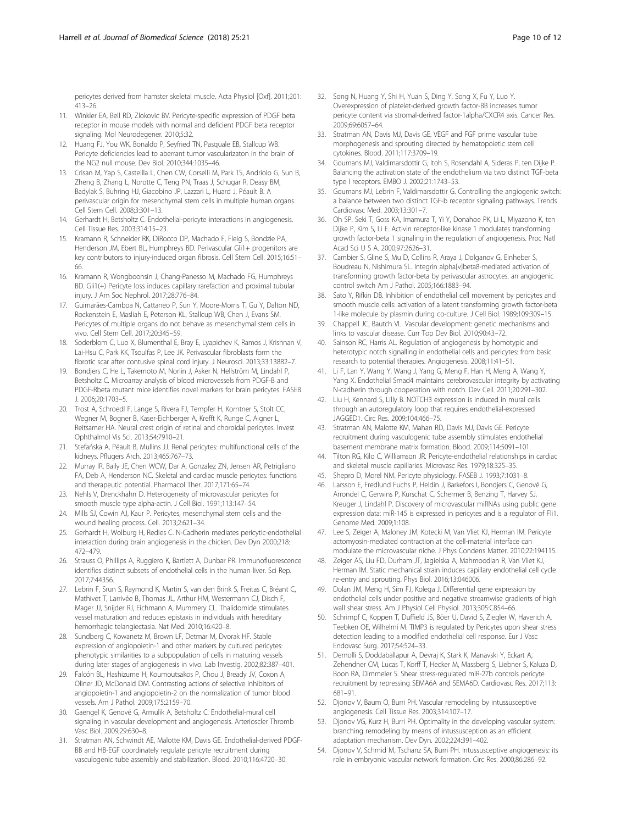<span id="page-9-0"></span>pericytes derived from hamster skeletal muscle. Acta Physiol [Oxf]. 2011;201: 413–26.

- 11. Winkler EA, Bell RD, Zlokovic BV. Pericyte-specific expression of PDGF beta receptor in mouse models with normal and deficient PDGF beta receptor signaling. Mol Neurodegener. 2010;5:32.
- 12. Huang FJ, You WK, Bonaldo P, Seyfried TN, Pasquale EB, Stallcup WB. Pericyte deficiencies lead to aberrant tumor vascularizaton in the brain of the NG2 null mouse. Dev Biol. 2010;344:1035–46.
- 13. Crisan M, Yap S, Casteilla L, Chen CW, Corselli M, Park TS, Andriolo G, Sun B, Zheng B, Zhang L, Norotte C, Teng PN, Traas J, Schugar R, Deasy BM, Badylak S, Buhring HJ, Giacobino JP, Lazzari L, Huard J, Péault B. A perivascular origin for mesenchymal stem cells in multiple human organs. Cell Stem Cell. 2008;3:301–13.
- 14. Gerhardt H, Betsholtz C. Endothelial-pericyte interactions in angiogenesis. Cell Tissue Res. 2003;314:15–23.
- 15. Kramann R, Schneider RK, DiRocco DP, Machado F, Fleig S, Bondzie PA, Henderson JM, Ebert BL, Humphreys BD. Perivascular Gli1+ progenitors are key contributors to injury-induced organ fibrosis. Cell Stem Cell. 2015;16:51– 66.
- 16. Kramann R, Wongboonsin J, Chang-Panesso M, Machado FG, Humphreys BD. Gli1(+) Pericyte loss induces capillary rarefaction and proximal tubular injury. J Am Soc Nephrol. 2017;28:776–84.
- 17. Guimarães-Camboa N, Cattaneo P, Sun Y, Moore-Morris T, Gu Y, Dalton ND, Rockenstein E, Masliah E, Peterson KL, Stallcup WB, Chen J, Evans SM. Pericytes of multiple organs do not behave as mesenchymal stem cells in vivo. Cell Stem Cell. 2017;20:345–59.
- 18. Soderblom C, Luo X, Blumenthal E, Bray E, Lyapichev K, Ramos J, Krishnan V, Lai-Hsu C, Park KK, Tsoulfas P, Lee JK. Perivascular fibroblasts form the fibrotic scar after contusive spinal cord injury. J Neurosci. 2013;33:13882–7.
- 19. Bondjers C, He L, Takemoto M, Norlin J, Asker N, Hellström M, Lindahl P, Betsholtz C. Microarray analysis of blood microvessels from PDGF-B and PDGF-Rbeta mutant mice identifies novel markers for brain pericytes. FASEB J. 2006;20:1703–5.
- 20. Trost A, Schroedl F, Lange S, Rivera FJ, Tempfer H, Korntner S, Stolt CC, Wegner M, Bogner B, Kaser-Eichberger A, Krefft K, Runge C, Aigner L, Reitsamer HA. Neural crest origin of retinal and choroidal pericytes. Invest Ophthalmol Vis Sci. 2013;54:7910–21.
- 21. Stefańska A, Péault B, Mullins JJ. Renal pericytes: multifunctional cells of the kidneys. Pflugers Arch. 2013;465:767–73.
- 22. Murray IR, Baily JE, Chen WCW, Dar A, Gonzalez ZN, Jensen AR, Petrigliano FA, Deb A, Henderson NC. Skeletal and cardiac muscle pericytes: functions and therapeutic potential. Pharmacol Ther. 2017;171:65–74.
- 23. Nehls V, Drenckhahn D. Heterogeneity of microvascular pericytes for smooth muscle type alpha-actin. J Cell Biol. 1991;113:147–54.
- 24. Mills SJ, Cowin AJ, Kaur P. Pericytes, mesenchymal stem cells and the wound healing process. Cell. 2013;2:621–34.
- 25. Gerhardt H, Wolburg H, Redies C. N-Cadherin mediates pericytic-endothelial interaction during brain angiogenesis in the chicken. Dev Dyn 2000;218: 472–479.
- 26. Strauss O, Phillips A, Ruggiero K, Bartlett A, Dunbar PR. Immunofluorescence identifies distinct subsets of endothelial cells in the human liver. Sci Rep. 2017;7:44356.
- 27. Lebrin F, Srun S, Raymond K, Martin S, van den Brink S, Freitas C, Bréant C, Mathivet T, Larrivée B, Thomas JL, Arthur HM, Westermann CJ, Disch F, Mager JJ, Snijder RJ, Eichmann A, Mummery CL. Thalidomide stimulates vessel maturation and reduces epistaxis in individuals with hereditary hemorrhagic telangiectasia. Nat Med. 2010;16:420–8.
- 28. Sundberg C, Kowanetz M, Brown LF, Detmar M, Dvorak HF. Stable expression of angiopoietin-1 and other markers by cultured pericytes: phenotypic similarities to a subpopulation of cells in maturing vessels during later stages of angiogenesis in vivo. Lab Investig. 2002;82:387–401.
- 29. Falcón BL, Hashizume H, Koumoutsakos P, Chou J, Bready JV, Coxon A, Oliner JD, McDonald DM. Contrasting actions of selective inhibitors of angiopoietin-1 and angiopoietin-2 on the normalization of tumor blood vessels. Am J Pathol. 2009;175:2159–70.
- 30. Gaengel K, Genové G, Armulik A, Betsholtz C. Endothelial-mural cell signaling in vascular development and angiogenesis. Arterioscler Thromb Vasc Biol. 2009;29:630–8.
- 31. Stratman AN, Schwindt AE, Malotte KM, Davis GE. Endothelial-derived PDGF-BB and HB-EGF coordinately regulate pericyte recruitment during vasculogenic tube assembly and stabilization. Blood. 2010;116:4720–30.
- 32. Song N, Huang Y, Shi H, Yuan S, Ding Y, Song X, Fu Y, Luo Y. Overexpression of platelet-derived growth factor-BB increases tumor pericyte content via stromal-derived factor-1alpha/CXCR4 axis. Cancer Res. 2009;69:6057–64.
- 33. Stratman AN, Davis MJ, Davis GE. VEGF and FGF prime vascular tube morphogenesis and sprouting directed by hematopoietic stem cell cytokines. Blood. 2011;117:3709–19.
- 34. Goumans MJ, Valdimarsdottir G, Itoh S, Rosendahl A, Sideras P, ten Dijke P. Balancing the activation state of the endothelium via two distinct TGF-beta type I receptors. EMBO J. 2002;21:1743–53.
- 35. Goumans MJ, Lebrin F, Valdimarsdottir G. Controlling the angiogenic switch: a balance between two distinct TGF-b receptor signaling pathways. Trends Cardiovasc Med. 2003;13:301–7.
- 36. Oh SP, Seki T, Goss KA, Imamura T, Yi Y, Donahoe PK, Li L, Miyazono K, ten Dijke P, Kim S, Li E. Activin receptor-like kinase 1 modulates transforming growth factor-beta 1 signaling in the regulation of angiogenesis. Proc Natl Acad Sci U S A. 2000;97:2626–31.
- 37. Cambier S, Gline S, Mu D, Collins R, Araya J, Dolganov G, Einheber S, Boudreau N, Nishimura SL. Integrin alpha[v]beta8-mediated activation of transforming growth factor-beta by perivascular astrocytes. an angiogenic control switch Am J Pathol. 2005;166:1883–94.
- 38. Sato Y, Rifkin DB. Inhibition of endothelial cell movement by pericytes and smooth muscle cells: activation of a latent transforming growth factor-beta 1-like molecule by plasmin during co-culture. J Cell Biol. 1989;109:309–15.
- Chappell JC, Bautch VL. Vascular development: genetic mechanisms and links to vascular disease. Curr Top Dev Biol. 2010;90:43–72.
- 40. Sainson RC, Harris AL. Regulation of angiogenesis by homotypic and heterotypic notch signalling in endothelial cells and pericytes: from basic research to potential therapies. Angiogenesis. 2008;11:41–51.
- 41. Li F, Lan Y, Wang Y, Wang J, Yang G, Meng F, Han H, Meng A, Wang Y, Yang X. Endothelial Smad4 maintains cerebrovascular integrity by activating N-cadherin through cooperation with notch. Dev Cell. 2011;20:291–302.
- 42. Liu H, Kennard S, Lilly B. NOTCH3 expression is induced in mural cells through an autoregulatory loop that requires endothelial-expressed JAGGED1. Circ Res. 2009;104:466–75.
- 43. Stratman AN, Malotte KM, Mahan RD, Davis MJ, Davis GE. Pericyte recruitment during vasculogenic tube assembly stimulates endothelial basement membrane matrix formation. Blood. 2009;114:5091–101.
- 44. Tilton RG, Kilo C, Williamson JR. Pericyte-endothelial relationships in cardiac and skeletal muscle capillaries. Microvasc Res. 1979;18:325–35.
- 45. Shepro D, Morel NM. Pericyte physiology. FASEB J. 1993;7:1031–8.
- 46. Larsson E, Fredlund Fuchs P, Heldin J, Barkefors I, Bondjers C, Genové G, Arrondel C, Gerwins P, Kurschat C, Schermer B, Benzing T, Harvey SJ, Kreuger J, Lindahl P. Discovery of microvascular miRNAs using public gene expression data: miR-145 is expressed in pericytes and is a regulator of Fli1. Genome Med. 2009;1:108.
- 47. Lee S, Zeiger A, Maloney JM, Kotecki M, Van Vliet KJ, Herman IM. Pericyte actomyosin-mediated contraction at the cell-material interface can modulate the microvascular niche. J Phys Condens Matter. 2010;22:194115.
- 48. Zeiger AS, Liu FD, Durham JT, Jagielska A, Mahmoodian R, Van Vliet KJ, Herman IM. Static mechanical strain induces capillary endothelial cell cycle re-entry and sprouting. Phys Biol. 2016;13:046006.
- 49. Dolan JM, Meng H, Sim FJ, Kolega J. Differential gene expression by endothelial cells under positive and negative streamwise gradients of high wall shear stress. Am J Physiol Cell Physiol. 2013;305:C854–66.
- 50. Schrimpf C, Koppen T, Duffield JS, Böer U, David S, Ziegler W, Haverich A, Teebken OE, Wilhelmi M. TIMP3 is regulated by Pericytes upon shear stress detection leading to a modified endothelial cell response. Eur J Vasc Endovasc Surg. 2017;54:524–33.
- 51. Demolli S, Doddaballapur A, Devraj K, Stark K, Manavski Y, Eckart A, Zehendner CM, Lucas T, Korff T, Hecker M, Massberg S, Liebner S, Kaluza D, Boon RA, Dimmeler S. Shear stress-regulated miR-27b controls pericyte recruitment by repressing SEMA6A and SEMA6D. Cardiovasc Res. 2017;113: 681–91.
- 52. Djonov V, Baum O, Burri PH. Vascular remodeling by intussusceptive angiogenesis. Cell Tissue Res. 2003;314:107–17.
- 53. Djonov VG, Kurz H, Burri PH. Optimality in the developing vascular system: branching remodeling by means of intussusception as an efficient adaptation mechanism. Dev Dyn. 2002;224:391–402.
- 54. Djonov V, Schmid M, Tschanz SA, Burri PH. Intussusceptive angiogenesis: its role in embryonic vascular network formation. Circ Res. 2000;86:286–92.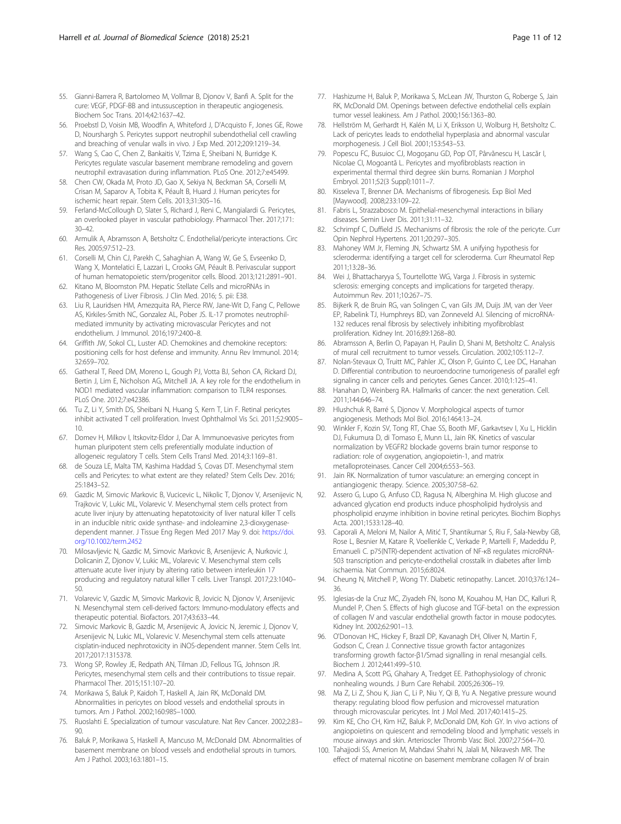- <span id="page-10-0"></span>55. Gianni-Barrera R, Bartolomeo M, Vollmar B, Djonov V, Banfi A. Split for the cure: VEGF, PDGF-BB and intussusception in therapeutic angiogenesis. Biochem Soc Trans. 2014;42:1637–42.
- 56. Proebstl D, Voisin MB, Woodfin A, Whiteford J, D'Acquisto F, Jones GE, Rowe D, Nourshargh S. Pericytes support neutrophil subendothelial cell crawling and breaching of venular walls in vivo. J Exp Med. 2012;209:1219–34.
- 57. Wang S, Cao C, Chen Z, Bankaitis V, Tzima E, Sheibani N, Burridge K. Pericytes regulate vascular basement membrane remodeling and govern neutrophil extravasation during inflammation. PLoS One. 2012;7:e45499.
- 58. Chen CW, Okada M, Proto JD, Gao X, Sekiya N, Beckman SA, Corselli M, Crisan M, Saparov A, Tobita K, Péault B, Huard J. Human pericytes for ischemic heart repair. Stem Cells. 2013;31:305–16.
- 59. Ferland-McCollough D, Slater S, Richard J, Reni C, Mangialardi G. Pericytes, an overlooked player in vascular pathobiology. Pharmacol Ther. 2017;171: 30–42.
- 60. Armulik A, Abramsson A, Betsholtz C. Endothelial/pericyte interactions. Circ Res. 2005;97:512–23.
- 61. Corselli M, Chin CJ, Parekh C, Sahaghian A, Wang W, Ge S, Evseenko D, Wang X, Montelatici E, Lazzari L, Crooks GM, Péault B. Perivascular support of human hematopoietic stem/progenitor cells. Blood. 2013;121:2891–901.
- 62. Kitano M, Bloomston PM. Hepatic Stellate Cells and microRNAs in Pathogenesis of Liver Fibrosis. J Clin Med. 2016; 5. pii: E38.
- 63. Liu R, Lauridsen HM, Amezquita RA, Pierce RW, Jane-Wit D, Fang C, Pellowe AS, Kirkiles-Smith NC, Gonzalez AL, Pober JS. IL-17 promotes neutrophilmediated immunity by activating microvascular Pericytes and not endothelium. J Immunol. 2016;197:2400–8.
- 64. Griffith JW, Sokol CL, Luster AD. Chemokines and chemokine receptors: positioning cells for host defense and immunity. Annu Rev Immunol. 2014; 32:659–702.
- 65. Gatheral T, Reed DM, Moreno L, Gough PJ, Votta BJ, Sehon CA, Rickard DJ, Bertin J, Lim E, Nicholson AG, Mitchell JA. A key role for the endothelium in NOD1 mediated vascular inflammation: comparison to TLR4 responses. PLoS One. 2012;7:e42386.
- 66. Tu Z, Li Y, Smith DS, Sheibani N, Huang S, Kern T, Lin F. Retinal pericytes inhibit activated T cell proliferation. Invest Ophthalmol Vis Sci. 2011;52:9005– 10.
- 67. Domev H, Milkov I, Itskovitz-Eldor J, Dar A. Immunoevasive pericytes from human pluripotent stem cells preferentially modulate induction of allogeneic regulatory T cells. Stem Cells Transl Med. 2014;3:1169–81.
- 68. de Souza LE, Malta TM, Kashima Haddad S, Covas DT. Mesenchymal stem cells and Pericytes: to what extent are they related? Stem Cells Dev. 2016; 25:1843–52.
- 69. Gazdic M, Simovic Markovic B, Vucicevic L, Nikolic T, Djonov V, Arsenijevic N, Trajkovic V, Lukic ML, Volarevic V. Mesenchymal stem cells protect from acute liver injury by attenuating hepatotoxicity of liver natural killer T cells in an inducible nitric oxide synthase- and indoleamine 2,3-dioxygenasedependent manner. J Tissue Eng Regen Med 2017 May 9. doi: [https://doi.](https://doi.org/10.1002/term.2452) [org/10.1002/term.2452](https://doi.org/10.1002/term.2452)
- 70. Milosavljevic N, Gazdic M, Simovic Markovic B, Arsenijevic A, Nurkovic J, Dolicanin Z, Djonov V, Lukic ML, Volarevic V. Mesenchymal stem cells attenuate acute liver injury by altering ratio between interleukin 17 producing and regulatory natural killer T cells. Liver Transpl. 2017;23:1040– 50.
- 71. Volarevic V, Gazdic M, Simovic Markovic B, Jovicic N, Djonov V, Arsenijevic N. Mesenchymal stem cell-derived factors: Immuno-modulatory effects and therapeutic potential. Biofactors. 2017;43:633–44.
- 72. Simovic Markovic B, Gazdic M, Arsenijevic A, Jovicic N, Jeremic J, Djonov V, Arsenijevic N, Lukic ML, Volarevic V. Mesenchymal stem cells attenuate cisplatin-induced nephrotoxicity in iNOS-dependent manner. Stem Cells Int. 2017;2017:1315378.
- 73. Wong SP, Rowley JE, Redpath AN, Tilman JD, Fellous TG, Johnson JR. Pericytes, mesenchymal stem cells and their contributions to tissue repair. Pharmacol Ther. 2015;151:107–20.
- 74. Morikawa S, Baluk P, Kaidoh T, Haskell A, Jain RK, McDonald DM. Abnormalities in pericytes on blood vessels and endothelial sprouts in tumors. Am J Pathol. 2002;160:985–1000.
- 75. Ruoslahti E. Specialization of tumour vasculature. Nat Rev Cancer. 2002;2:83–  $90^{\circ}$
- 76. Baluk P, Morikawa S, Haskell A, Mancuso M, McDonald DM. Abnormalities of basement membrane on blood vessels and endothelial sprouts in tumors. Am J Pathol. 2003;163:1801–15.
- 77. Hashizume H, Baluk P, Morikawa S, McLean JW, Thurston G, Roberge S, Jain RK, McDonald DM. Openings between defective endothelial cells explain tumor vessel leakiness. Am J Pathol. 2000;156:1363–80.
- 78. Hellström M, Gerhardt H, Kalén M, Li X, Eriksson U, Wolburg H, Betsholtz C. Lack of pericytes leads to endothelial hyperplasia and abnormal vascular morphogenesis. J Cell Biol. 2001;153:543–53.
- 79. Popescu FC, Busuioc CJ, Mogoşanu GD, Pop OT, Pârvănescu H, Lascăr I, Nicolae CI, Mogoantă L. Pericytes and myofibroblasts reaction in experimental thermal third degree skin burns. Romanian J Morphol Embryol. 2011;52(3 Suppl):1011–7.
- 80. Kisseleva T, Brenner DA. Mechanisms of fibrogenesis. Exp Biol Med [Maywood]. 2008;233:109–22.
- 81. Fabris L, Strazzabosco M. Epithelial-mesenchymal interactions in biliary diseases. Semin Liver Dis. 2011;31:11–32.
- 82. Schrimpf C, Duffield JS. Mechanisms of fibrosis: the role of the pericyte. Curr Opin Nephrol Hypertens. 2011;20:297–305.
- 83. Mahoney WM Jr, Fleming JN, Schwartz SM. A unifying hypothesis for scleroderma: identifying a target cell for scleroderma. Curr Rheumatol Rep 2011;13:28–36.
- 84. Wei J, Bhattacharyya S, Tourtellotte WG, Varga J. Fibrosis in systemic sclerosis: emerging concepts and implications for targeted therapy. Autoimmun Rev. 2011;10:267–75.
- 85. Bijkerk R, de Bruin RG, van Solingen C, van Gils JM, Duijs JM, van der Veer EP, Rabelink TJ, Humphreys BD, van Zonneveld AJ. Silencing of microRNA-132 reduces renal fibrosis by selectively inhibiting myofibroblast proliferation. Kidney Int. 2016;89:1268–80.
- 86. Abramsson A, Berlin O, Papayan H, Paulin D, Shani M, Betsholtz C. Analysis of mural cell recruitment to tumor vessels. Circulation. 2002;105:112–7.
- 87. Nolan-Stevaux O, Truitt MC, Pahler JC, Olson P, Guinto C, Lee DC, Hanahan D. Differential contribution to neuroendocrine tumorigenesis of parallel egfr signaling in cancer cells and pericytes. Genes Cancer. 2010;1:125–41.
- Hanahan D, Weinberg RA. Hallmarks of cancer: the next generation. Cell. 2011;144:646–74.
- 89. Hlushchuk R, Barré S, Djonov V. Morphological aspects of tumor angiogenesis. Methods Mol Biol. 2016;1464:13–24.
- 90. Winkler F, Kozin SV, Tong RT, Chae SS, Booth MF, Garkavtsev I, Xu L, Hicklin DJ, Fukumura D, di Tomaso E, Munn LL, Jain RK. Kinetics of vascular normalization by VEGFR2 blockade governs brain tumor response to radiation: role of oxygenation, angiopoietin-1, and matrix metalloproteinases. Cancer Cell 2004;6:553–563.
- 91. Jain RK. Normalization of tumor vasculature: an emerging concept in antiangiogenic therapy. Science. 2005;307:58–62.
- 92. Assero G, Lupo G, Anfuso CD, Ragusa N, Alberghina M. High glucose and advanced glycation end products induce phospholipid hydrolysis and phospholipid enzyme inhibition in bovine retinal pericytes. Biochim Biophys Acta. 2001;1533:128–40.
- 93. Caporali A, Meloni M, Nailor A, Mitić T, Shantikumar S, Riu F, Sala-Newby GB, Rose L, Besnier M, Katare R, Voellenkle C, Verkade P, Martelli F, Madeddu P, Emanueli C. p75(NTR)-dependent activation of NF-κB regulates microRNA-503 transcription and pericyte-endothelial crosstalk in diabetes after limb ischaemia. Nat Commun. 2015;6:8024.
- 94. Cheung N, Mitchell P, Wong TY. Diabetic retinopathy. Lancet. 2010;376:124– 36.
- 95. Iglesias-de la Cruz MC, Ziyadeh FN, Isono M, Kouahou M, Han DC, Kalluri R, Mundel P, Chen S. Effects of high glucose and TGF-beta1 on the expression of collagen IV and vascular endothelial growth factor in mouse podocytes. Kidney Int. 2002;62:901–13.
- 96. O'Donovan HC, Hickey F, Brazil DP, Kavanagh DH, Oliver N, Martin F, Godson C, Crean J. Connective tissue growth factor antagonizes transforming growth factor-β1/Smad signalling in renal mesangial cells. Biochem J. 2012;441:499–510.
- 97. Medina A, Scott PG, Ghahary A, Tredget EE. Pathophysiology of chronic nonhealing wounds. J Burn Care Rehabil. 2005;26:306–19.
- 98. Ma Z, Li Z, Shou K, Jian C, Li P, Niu Y, Qi B, Yu A. Negative pressure wound therapy: regulating blood flow perfusion and microvessel maturation through microvascular pericytes. Int J Mol Med. 2017;40:1415–25.
- 99. Kim KE, Cho CH, Kim HZ, Baluk P, McDonald DM, Koh GY. In vivo actions of angiopoietins on quiescent and remodeling blood and lymphatic vessels in mouse airways and skin. Arterioscler Thromb Vasc Biol. 2007;27:564–70.
- 100. Tahajjodi SS, Amerion M, Mahdavi Shahri N, Jalali M, Nikravesh MR. The effect of maternal nicotine on basement membrane collagen IV of brain